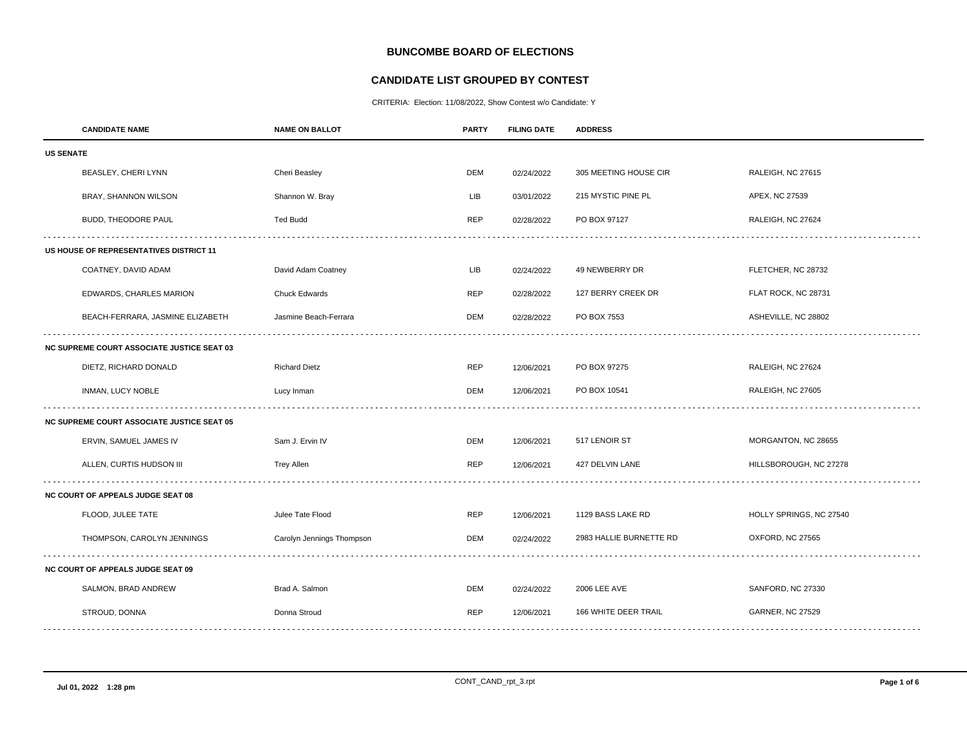# **BUNCOMBE BOARD OF ELECTIONS**

## **CANDIDATE LIST GROUPED BY CONTEST**

CRITERIA: Election: 11/08/2022, Show Contest w/o Candidate: Y

|                                                   | <b>CANDIDATE NAME</b>                             | <b>NAME ON BALLOT</b>     | <b>PARTY</b> | <b>FILING DATE</b> | <b>ADDRESS</b>          |                         |  |
|---------------------------------------------------|---------------------------------------------------|---------------------------|--------------|--------------------|-------------------------|-------------------------|--|
| <b>US SENATE</b>                                  |                                                   |                           |              |                    |                         |                         |  |
|                                                   | BEASLEY, CHERI LYNN                               | Cheri Beasley             | DEM          | 02/24/2022         | 305 MEETING HOUSE CIR   | RALEIGH, NC 27615       |  |
|                                                   | BRAY, SHANNON WILSON                              | Shannon W. Bray           | LIB          | 03/01/2022         | 215 MYSTIC PINE PL      | APEX, NC 27539          |  |
|                                                   | BUDD, THEODORE PAUL                               | <b>Ted Budd</b>           | <b>REP</b>   | 02/28/2022         | PO BOX 97127            | RALEIGH, NC 27624       |  |
| US HOUSE OF REPRESENTATIVES DISTRICT 11           |                                                   |                           |              |                    |                         |                         |  |
|                                                   | COATNEY, DAVID ADAM                               | David Adam Coatney        | <b>LIB</b>   | 02/24/2022         | 49 NEWBERRY DR          | FLETCHER, NC 28732      |  |
|                                                   | EDWARDS, CHARLES MARION                           | <b>Chuck Edwards</b>      | <b>REP</b>   | 02/28/2022         | 127 BERRY CREEK DR      | FLAT ROCK, NC 28731     |  |
|                                                   | BEACH-FERRARA, JASMINE ELIZABETH                  | Jasmine Beach-Ferrara     | DEM          | 02/28/2022         | PO BOX 7553             | ASHEVILLE, NC 28802     |  |
| <b>NC SUPREME COURT ASSOCIATE JUSTICE SEAT 03</b> |                                                   |                           |              |                    |                         |                         |  |
|                                                   | DIETZ, RICHARD DONALD                             | <b>Richard Dietz</b>      | <b>REP</b>   | 12/06/2021         | PO BOX 97275            | RALEIGH, NC 27624       |  |
|                                                   | INMAN, LUCY NOBLE                                 | Lucy Inman                | DEM          | 12/06/2021         | PO BOX 10541            | RALEIGH, NC 27605       |  |
|                                                   | <b>NC SUPREME COURT ASSOCIATE JUSTICE SEAT 05</b> |                           |              |                    |                         |                         |  |
|                                                   | ERVIN, SAMUEL JAMES IV                            | Sam J. Ervin IV           | <b>DEM</b>   | 12/06/2021         | 517 LENOIR ST           | MORGANTON, NC 28655     |  |
|                                                   | ALLEN, CURTIS HUDSON III                          | <b>Trey Allen</b>         | <b>REP</b>   | 12/06/2021         | 427 DELVIN LANE         | HILLSBOROUGH, NC 27278  |  |
|                                                   | NC COURT OF APPEALS JUDGE SEAT 08                 |                           |              |                    |                         |                         |  |
|                                                   | FLOOD, JULEE TATE                                 | Julee Tate Flood          | <b>REP</b>   | 12/06/2021         | 1129 BASS LAKE RD       | HOLLY SPRINGS, NC 27540 |  |
|                                                   | THOMPSON, CAROLYN JENNINGS                        | Carolyn Jennings Thompson | DEM          | 02/24/2022         | 2983 HALLIE BURNETTE RD | OXFORD, NC 27565        |  |
|                                                   | NC COURT OF APPEALS JUDGE SEAT 09                 |                           |              |                    |                         |                         |  |
|                                                   | SALMON, BRAD ANDREW                               | Brad A. Salmon            | DEM          | 02/24/2022         | 2006 LEE AVE            | SANFORD, NC 27330       |  |
|                                                   | STROUD, DONNA                                     | Donna Stroud              | <b>REP</b>   | 12/06/2021         | 166 WHITE DEER TRAIL    | <b>GARNER, NC 27529</b> |  |
|                                                   |                                                   |                           |              |                    |                         |                         |  |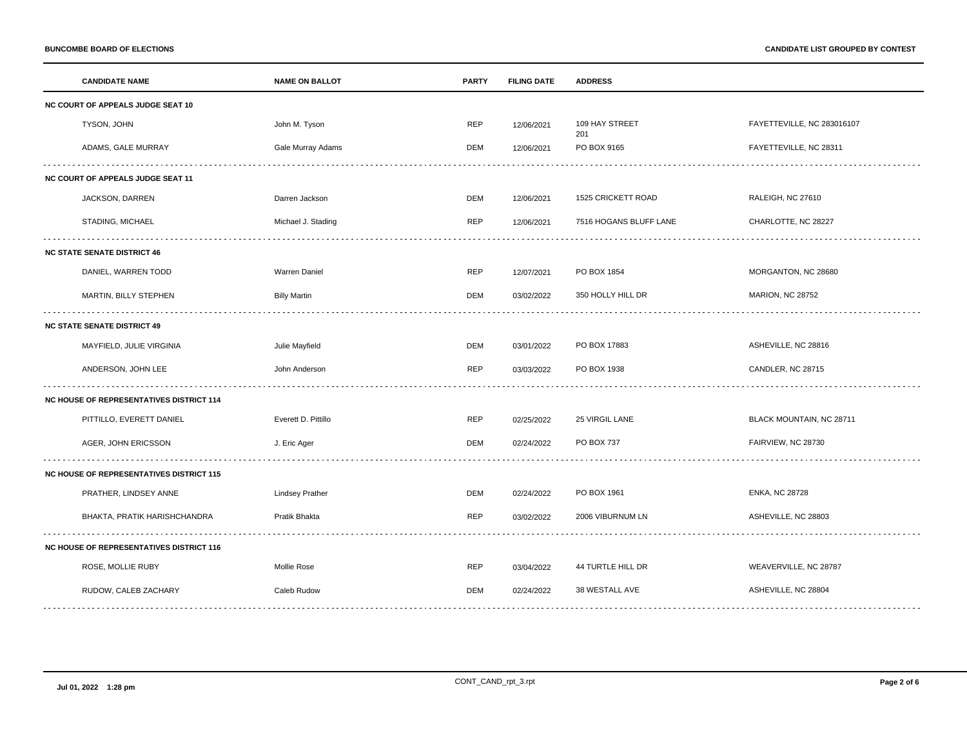|                                                 | <b>CANDIDATE NAME</b>                           | <b>NAME ON BALLOT</b>  | <b>PARTY</b> | <b>FILING DATE</b> | <b>ADDRESS</b>         |                            |
|-------------------------------------------------|-------------------------------------------------|------------------------|--------------|--------------------|------------------------|----------------------------|
| NC COURT OF APPEALS JUDGE SEAT 10               |                                                 |                        |              |                    |                        |                            |
|                                                 | TYSON, JOHN                                     | John M. Tyson          | <b>REP</b>   | 12/06/2021         | 109 HAY STREET<br>201  | FAYETTEVILLE, NC 283016107 |
|                                                 | ADAMS, GALE MURRAY                              | Gale Murray Adams      | <b>DEM</b>   | 12/06/2021         | PO BOX 9165            | FAYETTEVILLE, NC 28311     |
| NC COURT OF APPEALS JUDGE SEAT 11               |                                                 |                        |              |                    |                        |                            |
|                                                 | JACKSON, DARREN                                 | Darren Jackson         | <b>DEM</b>   | 12/06/2021         | 1525 CRICKETT ROAD     | RALEIGH, NC 27610          |
|                                                 | STADING, MICHAEL                                | Michael J. Stading     | <b>REP</b>   | 12/06/2021         | 7516 HOGANS BLUFF LANE | CHARLOTTE, NC 28227        |
|                                                 | <b>NC STATE SENATE DISTRICT 46</b>              |                        |              |                    |                        |                            |
|                                                 | DANIEL, WARREN TODD                             | <b>Warren Daniel</b>   | <b>REP</b>   | 12/07/2021         | PO BOX 1854            | MORGANTON, NC 28680        |
|                                                 | MARTIN, BILLY STEPHEN                           | <b>Billy Martin</b>    | <b>DEM</b>   | 03/02/2022         | 350 HOLLY HILL DR      | <b>MARION, NC 28752</b>    |
| <b>NC STATE SENATE DISTRICT 49</b>              |                                                 |                        |              |                    |                        |                            |
|                                                 | MAYFIELD, JULIE VIRGINIA                        | Julie Mayfield         | <b>DEM</b>   | 03/01/2022         | PO BOX 17883           | ASHEVILLE, NC 28816        |
|                                                 | ANDERSON, JOHN LEE                              | John Anderson          | <b>REP</b>   | 03/03/2022         | PO BOX 1938            | CANDLER, NC 28715          |
|                                                 | <b>NC HOUSE OF REPRESENTATIVES DISTRICT 114</b> |                        |              |                    |                        |                            |
|                                                 | PITTILLO, EVERETT DANIEL                        | Everett D. Pittillo    | <b>REP</b>   | 02/25/2022         | 25 VIRGIL LANE         | BLACK MOUNTAIN, NC 28711   |
|                                                 | AGER, JOHN ERICSSON                             | J. Eric Ager           | <b>DEM</b>   | 02/24/2022         | PO BOX 737             | FAIRVIEW, NC 28730         |
|                                                 | <b>NC HOUSE OF REPRESENTATIVES DISTRICT 115</b> |                        |              |                    |                        |                            |
|                                                 | PRATHER, LINDSEY ANNE                           | <b>Lindsey Prather</b> | <b>DEM</b>   | 02/24/2022         | PO BOX 1961            | <b>ENKA, NC 28728</b>      |
|                                                 | BHAKTA, PRATIK HARISHCHANDRA                    | Pratik Bhakta          | <b>REP</b>   | 03/02/2022         | 2006 VIBURNUM LN       | ASHEVILLE, NC 28803        |
| <b>NC HOUSE OF REPRESENTATIVES DISTRICT 116</b> |                                                 |                        |              |                    |                        |                            |
|                                                 | ROSE, MOLLIE RUBY                               | <b>Mollie Rose</b>     | <b>REP</b>   | 03/04/2022         | 44 TURTLE HILL DR      | WEAVERVILLE, NC 28787      |
|                                                 | RUDOW, CALEB ZACHARY                            | Caleb Rudow            | <b>DEM</b>   | 02/24/2022         | 38 WESTALL AVE         | ASHEVILLE, NC 28804        |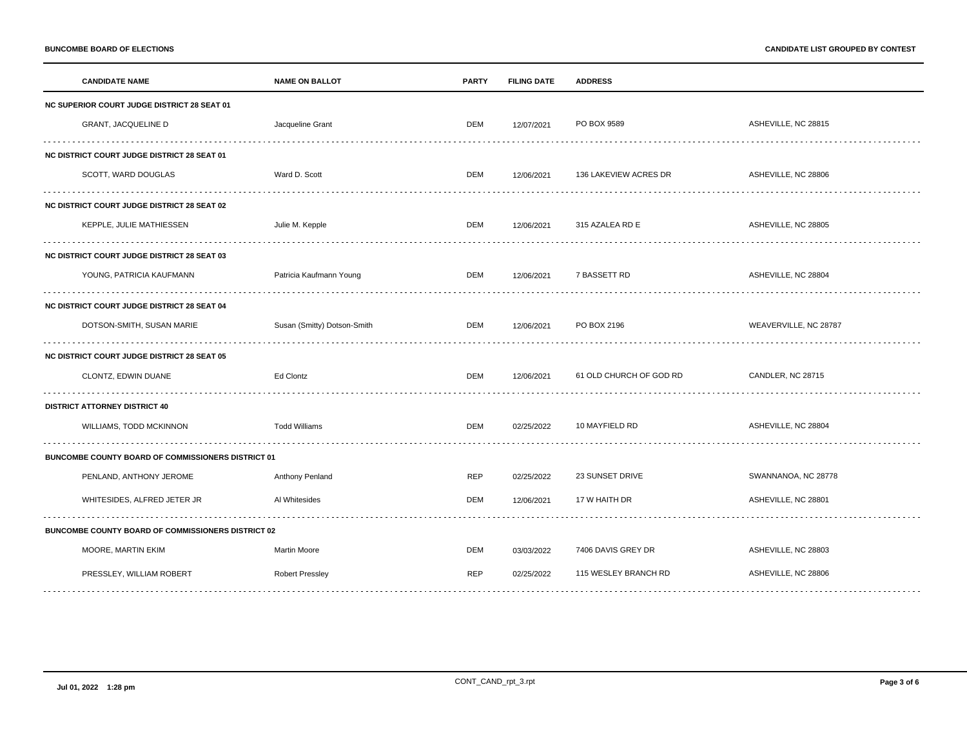| <b>CANDIDATE NAME</b>                                     | <b>NAME ON BALLOT</b>       | <b>PARTY</b> | <b>FILING DATE</b> | <b>ADDRESS</b>          |                       |
|-----------------------------------------------------------|-----------------------------|--------------|--------------------|-------------------------|-----------------------|
| <b>NC SUPERIOR COURT JUDGE DISTRICT 28 SEAT 01</b>        |                             |              |                    |                         |                       |
| <b>GRANT, JACQUELINE D</b>                                | Jacqueline Grant            | DEM          | 12/07/2021         | PO BOX 9589             | ASHEVILLE, NC 28815   |
| NC DISTRICT COURT JUDGE DISTRICT 28 SEAT 01               |                             |              |                    |                         |                       |
| SCOTT, WARD DOUGLAS                                       | Ward D. Scott               | DEM          | 12/06/2021         | 136 LAKEVIEW ACRES DR   | ASHEVILLE, NC 28806   |
| <b>NC DISTRICT COURT JUDGE DISTRICT 28 SEAT 02</b>        |                             |              |                    |                         |                       |
| KEPPLE, JULIE MATHIESSEN                                  | Julie M. Kepple             | DEM          | 12/06/2021         | 315 AZALEA RD E         | ASHEVILLE, NC 28805   |
| <b>NC DISTRICT COURT JUDGE DISTRICT 28 SEAT 03</b>        |                             |              |                    |                         |                       |
| YOUNG, PATRICIA KAUFMANN                                  | Patricia Kaufmann Young     | DEM          | 12/06/2021         | 7 BASSETT RD            | ASHEVILLE, NC 28804   |
| NC DISTRICT COURT JUDGE DISTRICT 28 SEAT 04               |                             |              |                    |                         |                       |
| DOTSON-SMITH, SUSAN MARIE                                 | Susan (Smitty) Dotson-Smith | DEM          | 12/06/2021         | PO BOX 2196             | WEAVERVILLE, NC 28787 |
| <b>NC DISTRICT COURT JUDGE DISTRICT 28 SEAT 05</b>        |                             |              |                    |                         |                       |
| CLONTZ, EDWIN DUANE                                       | Ed Clontz                   | DEM          | 12/06/2021         | 61 OLD CHURCH OF GOD RD | CANDLER, NC 28715     |
| <b>DISTRICT ATTORNEY DISTRICT 40</b>                      |                             |              |                    |                         |                       |
| WILLIAMS, TODD MCKINNON                                   | <b>Todd Williams</b>        | DEM          | 02/25/2022         | 10 MAYFIELD RD          | ASHEVILLE, NC 28804   |
| BUNCOMBE COUNTY BOARD OF COMMISSIONERS DISTRICT 01        |                             |              |                    |                         |                       |
| PENLAND, ANTHONY JEROME                                   | Anthony Penland             | REP          | 02/25/2022         | 23 SUNSET DRIVE         | SWANNANOA, NC 28778   |
| WHITESIDES, ALFRED JETER JR                               | Al Whitesides               | DEM          | 12/06/2021         | 17 W HAITH DR           | ASHEVILLE, NC 28801   |
| <b>BUNCOMBE COUNTY BOARD OF COMMISSIONERS DISTRICT 02</b> |                             |              |                    |                         |                       |
| MOORE, MARTIN EKIM                                        | <b>Martin Moore</b>         | DEM          | 03/03/2022         | 7406 DAVIS GREY DR      | ASHEVILLE, NC 28803   |
| PRESSLEY, WILLIAM ROBERT                                  | <b>Robert Pressley</b>      | <b>REP</b>   | 02/25/2022         | 115 WESLEY BRANCH RD    | ASHEVILLE, NC 28806   |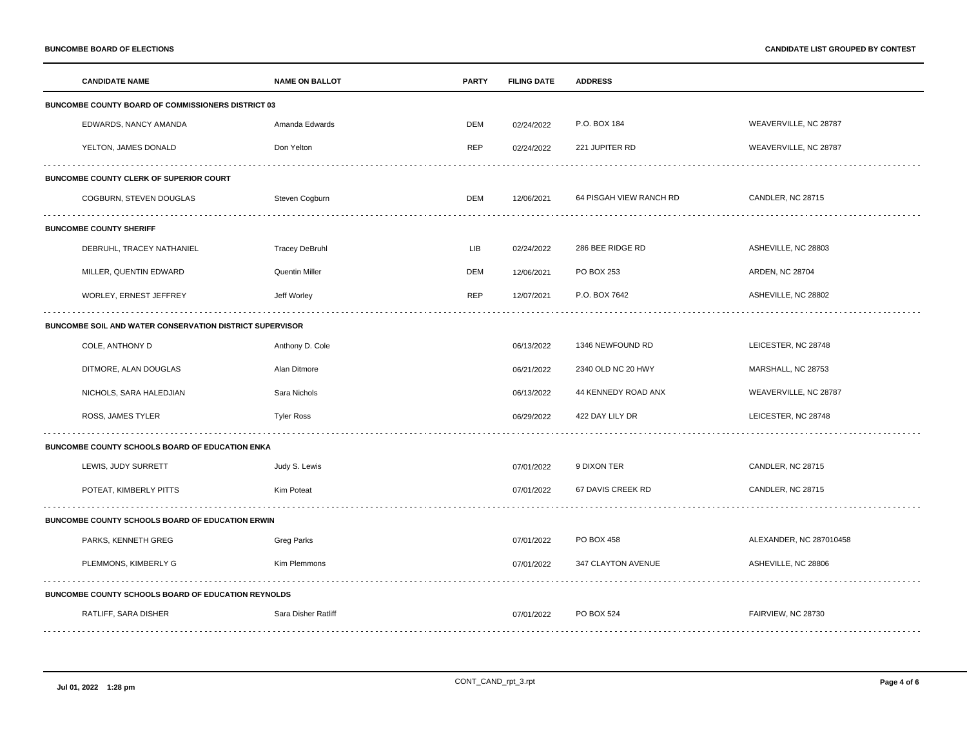|                                                           | <b>CANDIDATE NAME</b>                                      | <b>NAME ON BALLOT</b> | <b>PARTY</b> | <b>FILING DATE</b> | <b>ADDRESS</b>          |                         |
|-----------------------------------------------------------|------------------------------------------------------------|-----------------------|--------------|--------------------|-------------------------|-------------------------|
| <b>BUNCOMBE COUNTY BOARD OF COMMISSIONERS DISTRICT 03</b> |                                                            |                       |              |                    |                         |                         |
|                                                           | EDWARDS, NANCY AMANDA                                      | Amanda Edwards        | DEM          | 02/24/2022         | P.O. BOX 184            | WEAVERVILLE, NC 28787   |
|                                                           | YELTON, JAMES DONALD                                       | Don Yelton            | <b>REP</b>   | 02/24/2022         | 221 JUPITER RD          | WEAVERVILLE, NC 28787   |
| BUNCOMBE COUNTY CLERK OF SUPERIOR COURT                   |                                                            |                       |              |                    |                         |                         |
|                                                           | COGBURN, STEVEN DOUGLAS                                    | Steven Cogburn        | DEM          | 12/06/2021         | 64 PISGAH VIEW RANCH RD | CANDLER, NC 28715       |
|                                                           | <b>BUNCOMBE COUNTY SHERIFF</b>                             |                       |              |                    |                         |                         |
|                                                           | DEBRUHL, TRACEY NATHANIEL                                  | <b>Tracey DeBruhl</b> | <b>LIB</b>   | 02/24/2022         | 286 BEE RIDGE RD        | ASHEVILLE, NC 28803     |
|                                                           | MILLER, QUENTIN EDWARD                                     | Quentin Miller        | <b>DEM</b>   | 12/06/2021         | PO BOX 253              | ARDEN, NC 28704         |
|                                                           | WORLEY, ERNEST JEFFREY                                     | Jeff Worley           | <b>REP</b>   | 12/07/2021         | P.O. BOX 7642           | ASHEVILLE, NC 28802     |
| BUNCOMBE SOIL AND WATER CONSERVATION DISTRICT SUPERVISOR  |                                                            |                       |              |                    |                         |                         |
|                                                           | COLE, ANTHONY D                                            | Anthony D. Cole       |              | 06/13/2022         | 1346 NEWFOUND RD        | LEICESTER, NC 28748     |
|                                                           | DITMORE, ALAN DOUGLAS                                      | Alan Ditmore          |              | 06/21/2022         | 2340 OLD NC 20 HWY      | MARSHALL, NC 28753      |
|                                                           | NICHOLS, SARA HALEDJIAN                                    | Sara Nichols          |              | 06/13/2022         | 44 KENNEDY ROAD ANX     | WEAVERVILLE, NC 28787   |
|                                                           | ROSS, JAMES TYLER                                          | <b>Tyler Ross</b>     |              | 06/29/2022         | 422 DAY LILY DR         | LEICESTER, NC 28748     |
|                                                           | BUNCOMBE COUNTY SCHOOLS BOARD OF EDUCATION ENKA            |                       |              |                    |                         |                         |
|                                                           | LEWIS, JUDY SURRETT                                        | Judy S. Lewis         |              | 07/01/2022         | 9 DIXON TER             | CANDLER, NC 28715       |
|                                                           | POTEAT, KIMBERLY PITTS                                     | Kim Poteat            |              | 07/01/2022         | 67 DAVIS CREEK RD       | CANDLER, NC 28715       |
| BUNCOMBE COUNTY SCHOOLS BOARD OF EDUCATION ERWIN          |                                                            |                       |              |                    |                         |                         |
|                                                           | PARKS, KENNETH GREG                                        | Greg Parks            |              | 07/01/2022         | PO BOX 458              | ALEXANDER, NC 287010458 |
|                                                           | PLEMMONS, KIMBERLY G                                       | Kim Plemmons          |              | 07/01/2022         | 347 CLAYTON AVENUE      | ASHEVILLE, NC 28806     |
|                                                           | <b>BUNCOMBE COUNTY SCHOOLS BOARD OF EDUCATION REYNOLDS</b> |                       |              |                    |                         |                         |
|                                                           | RATLIFF, SARA DISHER                                       | Sara Disher Ratliff   |              | 07/01/2022         | PO BOX 524              | FAIRVIEW, NC 28730      |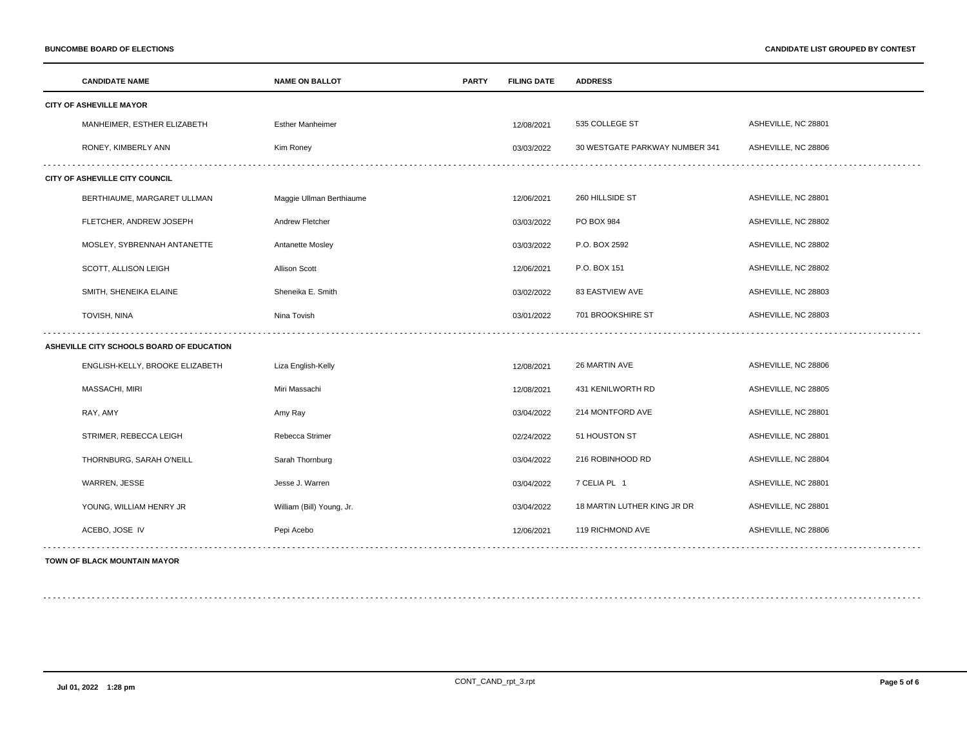|                                           | <b>CANDIDATE NAME</b>           | <b>NAME ON BALLOT</b>     | <b>PARTY</b> | <b>FILING DATE</b> | <b>ADDRESS</b>                 |                     |
|-------------------------------------------|---------------------------------|---------------------------|--------------|--------------------|--------------------------------|---------------------|
|                                           | <b>CITY OF ASHEVILLE MAYOR</b>  |                           |              |                    |                                |                     |
|                                           | MANHEIMER, ESTHER ELIZABETH     | <b>Esther Manheimer</b>   |              | 12/08/2021         | 535 COLLEGE ST                 | ASHEVILLE, NC 28801 |
|                                           | RONEY, KIMBERLY ANN             | Kim Roney                 |              | 03/03/2022         | 30 WESTGATE PARKWAY NUMBER 341 | ASHEVILLE, NC 28806 |
| CITY OF ASHEVILLE CITY COUNCIL            |                                 |                           |              |                    |                                |                     |
|                                           | BERTHIAUME, MARGARET ULLMAN     | Maggie Ullman Berthiaume  |              | 12/06/2021         | 260 HILLSIDE ST                | ASHEVILLE, NC 28801 |
|                                           | FLETCHER, ANDREW JOSEPH         | Andrew Fletcher           |              | 03/03/2022         | PO BOX 984                     | ASHEVILLE, NC 28802 |
|                                           | MOSLEY, SYBRENNAH ANTANETTE     | Antanette Mosley          |              | 03/03/2022         | P.O. BOX 2592                  | ASHEVILLE, NC 28802 |
|                                           | SCOTT, ALLISON LEIGH            | <b>Allison Scott</b>      |              | 12/06/2021         | P.O. BOX 151                   | ASHEVILLE, NC 28802 |
|                                           | SMITH, SHENEIKA ELAINE          | Sheneika E. Smith         |              | 03/02/2022         | <b>83 EASTVIEW AVE</b>         | ASHEVILLE, NC 28803 |
|                                           | TOVISH, NINA                    | Nina Tovish               |              | 03/01/2022         | 701 BROOKSHIRE ST              | ASHEVILLE, NC 28803 |
| ASHEVILLE CITY SCHOOLS BOARD OF EDUCATION |                                 |                           |              |                    |                                |                     |
|                                           | ENGLISH-KELLY, BROOKE ELIZABETH | Liza English-Kelly        |              | 12/08/2021         | 26 MARTIN AVE                  | ASHEVILLE, NC 28806 |
|                                           | MASSACHI, MIRI                  | Miri Massachi             |              | 12/08/2021         | 431 KENILWORTH RD              | ASHEVILLE, NC 28805 |
|                                           | RAY, AMY                        | Amy Ray                   |              | 03/04/2022         | 214 MONTFORD AVE               | ASHEVILLE, NC 28801 |
|                                           | STRIMER, REBECCA LEIGH          | Rebecca Strimer           |              | 02/24/2022         | 51 HOUSTON ST                  | ASHEVILLE, NC 28801 |
|                                           | THORNBURG, SARAH O'NEILL        | Sarah Thornburg           |              | 03/04/2022         | 216 ROBINHOOD RD               | ASHEVILLE, NC 28804 |
|                                           | WARREN, JESSE                   | Jesse J. Warren           |              | 03/04/2022         | 7 CELIA PL 1                   | ASHEVILLE, NC 28801 |
|                                           | YOUNG, WILLIAM HENRY JR         | William (Bill) Young, Jr. |              | 03/04/2022         | 18 MARTIN LUTHER KING JR DR    | ASHEVILLE, NC 28801 |
|                                           | ACEBO, JOSE IV                  | Pepi Acebo                |              | 12/06/2021         | 119 RICHMOND AVE               | ASHEVILLE, NC 28806 |
|                                           |                                 |                           |              |                    |                                |                     |

### **TOWN OF BLACK MOUNTAIN MAYOR**